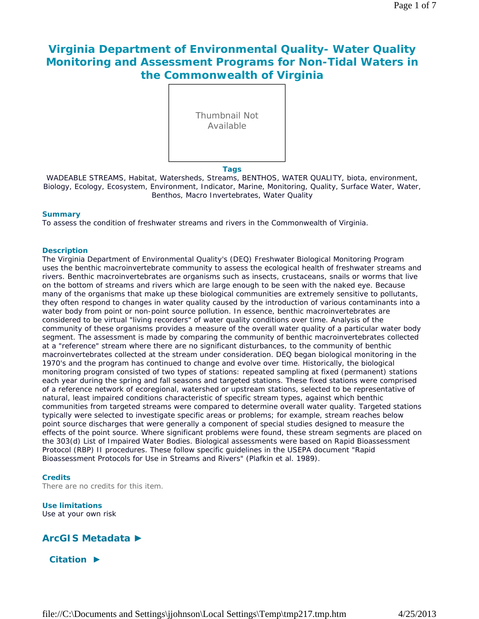# **Virginia Department of Environmental Quality- Water Quality Monitoring and Assessment Programs for Non-Tidal Waters in the Commonwealth of Virginia**



WADEABLE STREAMS, Habitat, Watersheds, Streams, BENTHOS, WATER QUALITY, biota, environment, Biology, Ecology, Ecosystem, Environment, Indicator, Marine, Monitoring, Quality, Surface Water, Water, Benthos, Macro Invertebrates, Water Quality

#### **Summary**

To assess the condition of freshwater streams and rivers in the Commonwealth of Virginia.

#### **Description**

The Virginia Department of Environmental Quality's (DEQ) Freshwater Biological Monitoring Program uses the benthic macroinvertebrate community to assess the ecological health of freshwater streams and rivers. Benthic macroinvertebrates are organisms such as insects, crustaceans, snails or worms that live on the bottom of streams and rivers which are large enough to be seen with the naked eye. Because many of the organisms that make up these biological communities are extremely sensitive to pollutants, they often respond to changes in water quality caused by the introduction of various contaminants into a water body from point or non-point source pollution. In essence, benthic macroinvertebrates are considered to be virtual "living recorders" of water quality conditions over time. Analysis of the community of these organisms provides a measure of the overall water quality of a particular water body segment. The assessment is made by comparing the community of benthic macroinvertebrates collected at a "reference" stream where there are no significant disturbances, to the community of benthic macroinvertebrates collected at the stream under consideration. DEQ began biological monitoring in the 1970's and the program has continued to change and evolve over time. Historically, the biological monitoring program consisted of two types of stations: repeated sampling at fixed (permanent) stations each year during the spring and fall seasons and targeted stations. These fixed stations were comprised of a reference network of ecoregional, watershed or upstream stations, selected to be representative of natural, least impaired conditions characteristic of specific stream types, against which benthic communities from targeted streams were compared to determine overall water quality. Targeted stations typically were selected to investigate specific areas or problems; for example, stream reaches below point source discharges that were generally a component of special studies designed to measure the effects of the point source. Where significant problems were found, these stream segments are placed on the 303(d) List of Impaired Water Bodies. Biological assessments were based on Rapid Bioassessment Protocol (RBP) II procedures. These follow specific guidelines in the USEPA document "Rapid Bioassessment Protocols for Use in Streams and Rivers" (Plafkin et al. 1989).

#### **Credits**

There are no credits for this item.

#### **Use limitations** Use at your own risk

# **ArcGIS Metadata ►**

**Citation ►**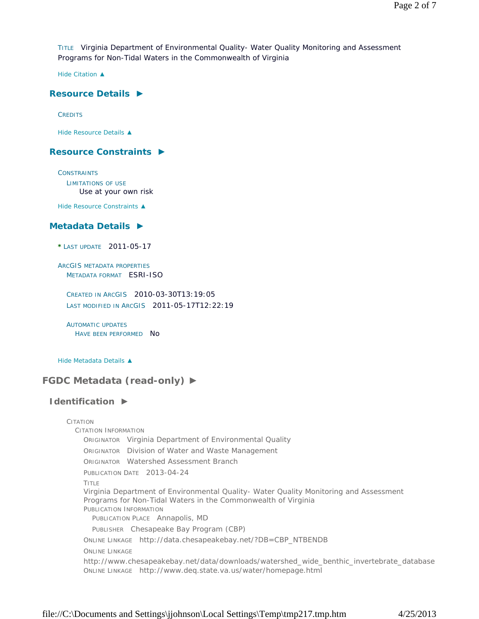TITLE Virginia Department of Environmental Quality- Water Quality Monitoring and Assessment Programs for Non-Tidal Waters in the Commonwealth of Virginia

*Hide Citation ▲*

## **Resource Details ►**

**CREDITS** 

*Hide Resource Details ▲*

# **Resource Constraints ►**

**CONSTRAINTS** LIMITATIONS OF USE Use at your own risk

*Hide Resource Constraints ▲*

### **Metadata Details ►**

**\*** LAST UPDATE 2011-05-17

ARCGIS METADATA PROPERTIES METADATA FORMAT ESRI-ISO

CREATED IN ARCGIS 2010-03-30T13:19:05 LAST MODIFIED IN ARCGIS 2011-05-17T12:22:19

AUTOMATIC UPDATES HAVE BEEN PERFORMED NO

*Hide Metadata Details ▲*

# **FGDC Metadata (read-only) ►**

# **Identification ►**

CITATION CITATION INFORMATION ORIGINATOR Virginia Department of Environmental Quality ORIGINATOR Division of Water and Waste Management ORIGINATOR Watershed Assessment Branch PUBLICATION DATE 2013-04-24 TITLE Virginia Department of Environmental Quality- Water Quality Monitoring and Assessment Programs for Non-Tidal Waters in the Commonwealth of Virginia PUBLICATION INFORMATION PUBLICATION PLACE Annapolis, MD PUBLISHER Chesapeake Bay Program (CBP) ONLINE LINKAGE http://data.chesapeakebay.net/?DB=CBP\_NTBENDB ONLINE LINKAGE http://www.chesapeakebay.net/data/downloads/watershed\_wide\_benthic\_invertebrate\_database ONLINE LINKAGE http://www.deq.state.va.us/water/homepage.html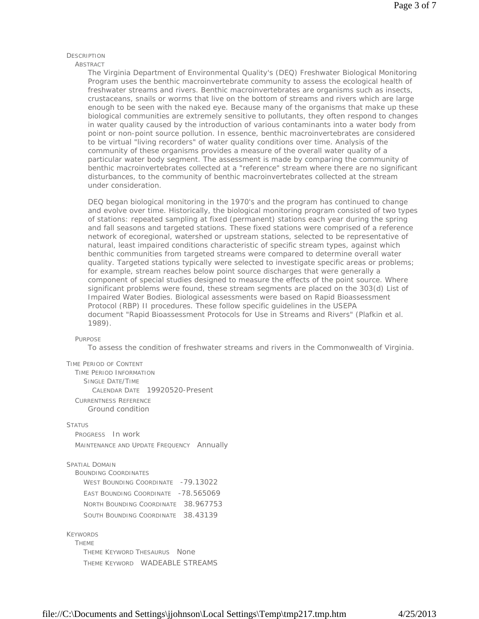#### **DESCRIPTION**

ABSTRACT

The Virginia Department of Environmental Quality's (DEQ) Freshwater Biological Monitoring Program uses the benthic macroinvertebrate community to assess the ecological health of freshwater streams and rivers. Benthic macroinvertebrates are organisms such as insects, crustaceans, snails or worms that live on the bottom of streams and rivers which are large enough to be seen with the naked eye. Because many of the organisms that make up these biological communities are extremely sensitive to pollutants, they often respond to changes in water quality caused by the introduction of various contaminants into a water body from point or non-point source pollution. In essence, benthic macroinvertebrates are considered to be virtual "living recorders" of water quality conditions over time. Analysis of the community of these organisms provides a measure of the overall water quality of a particular water body segment. The assessment is made by comparing the community of benthic macroinvertebrates collected at a "reference" stream where there are no significant disturbances, to the community of benthic macroinvertebrates collected at the stream under consideration.

DEQ began biological monitoring in the 1970's and the program has continued to change and evolve over time. Historically, the biological monitoring program consisted of two types of stations: repeated sampling at fixed (permanent) stations each year during the spring and fall seasons and targeted stations. These fixed stations were comprised of a reference network of ecoregional, watershed or upstream stations, selected to be representative of natural, least impaired conditions characteristic of specific stream types, against which benthic communities from targeted streams were compared to determine overall water quality. Targeted stations typically were selected to investigate specific areas or problems; for example, stream reaches below point source discharges that were generally a component of special studies designed to measure the effects of the point source. Where significant problems were found, these stream segments are placed on the 303(d) List of Impaired Water Bodies. Biological assessments were based on Rapid Bioassessment Protocol (RBP) II procedures. These follow specific guidelines in the USEPA document "Rapid Bioassessment Protocols for Use in Streams and Rivers" (Plafkin et al. 1989).

#### **PURPOSE**

To assess the condition of freshwater streams and rivers in the Commonwealth of Virginia.

#### TIME PERIOD OF CONTENT

TIME PERIOD INFORMATION SINGLE DATE/TIME CALENDAR DATE 19920520-Present CURRENTNESS REFERENCE Ground condition

#### **STATUS**

PROGRESS In work MAINTENANCE AND UPDATE FREQUENCY Annually

#### SPATIAL DOMAIN

BOUNDING COORDINATES WEST BOUNDING COORDINATE -79.13022 EAST BOUNDING COORDINATE -78.565069 NORTH BOUNDING COORDINATE 38.967753 SOUTH BOUNDING COORDINATE 38.43139

#### KEYWORDS

THEME THEME KEYWORD THESAURUS None THEME KEYWORD WADEABLE STREAMS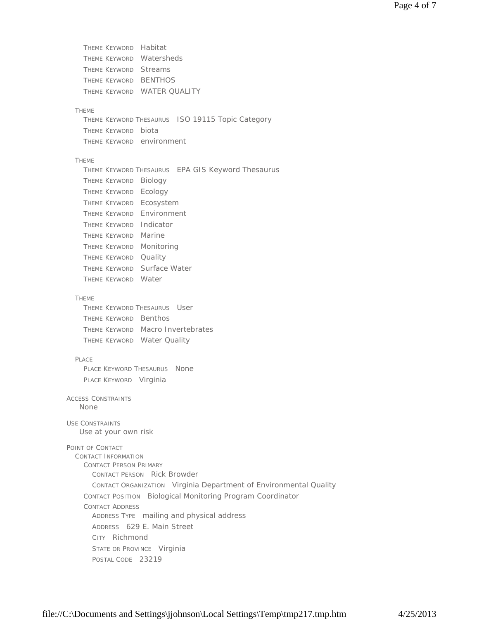THEME KEYWORD Habitat THEME KEYWORD Watersheds THEME KEYWORD Streams THEME KEYWORD BENTHOS THEME KEYWORD WATER QUALITY THEME THEME KEYWORD THESAURUS ISO 19115 Topic Category THEME KEYWORD biota THEME KEYWORD environment THEME THEME KEYWORD THESAURUS EPA GIS Keyword Thesaurus THEME KEYWORD Biology THEME KEYWORD Ecology THEME KEYWORD Ecosystem THEME KEYWORD Environment THEME KEYWORD Indicator THEME KEYWORD Marine THEME KEYWORD Monitoring THEME KEYWORD Quality THEME KEYWORD Surface Water THEME KEYWORD Water **THEME** THEME KEYWORD THESAURUS User THEME KEYWORD Benthos THEME KEYWORD Macro Invertebrates THEME KEYWORD Water Quality PLACE PLACE KEYWORD THESAURUS None PLACE KEYWORD Virginia ACCESS CONSTRAINTS USE CONSTRAINTS POINT OF CONTACT CONTACT INFORMATION CONTACT PERSON PRIMARY CONTACT PERSON Rick Browder CONTACT ORGANIZATION Virginia Department of Environmental Quality CONTACT POSITION Biological Monitoring Program Coordinator CONTACT ADDRESS ADDRESS TYPE mailing and physical address ADDRESS 629 E. Main Street CITY Richmond STATE OR PROVINCE Virginia POSTAL CODE 23219 None Use at your own risk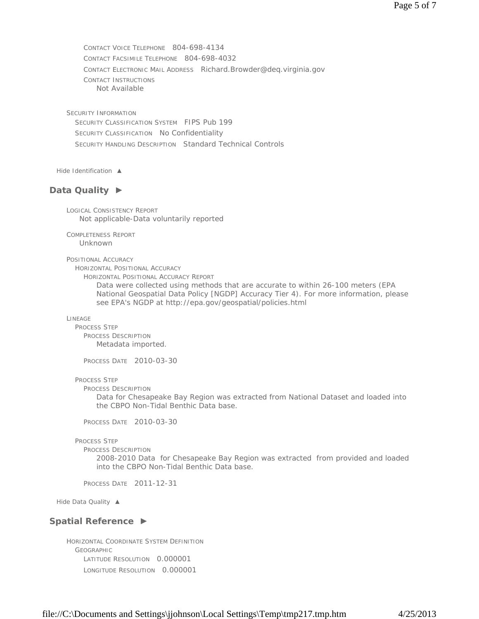CONTACT VOICE TELEPHONE 804-698-4134 CONTACT FACSIMILE TELEPHONE 804-698-4032 CONTACT ELECTRONIC MAIL ADDRESS Richard.Browder@deq.virginia.gov CONTACT INSTRUCTIONS Not Available

SECURITY INFORMATION SECURITY CLASSIFICATION SYSTEM FIPS Pub 199 SECURITY CLASSIFICATION No Confidentiality SECURITY HANDLING DESCRIPTION Standard Technical Controls

*Hide Identification ▲*

# **Data Quality ►**

LOGICAL CONSISTENCY REPORT Not applicable-Data voluntarily reported

COMPLETENESS REPORT Unknown

POSITIONAL ACCURACY

HORIZONTAL POSITIONAL ACCURACY

HORIZONTAL POSITIONAL ACCURACY REPORT

Data were collected using methods that are accurate to within 26-100 meters (EPA National Geospatial Data Policy [NGDP] Accuracy Tier 4). For more information, please see EPA's NGDP at http://epa.gov/geospatial/policies.html

LINEAGE

PROCESS STEP PROCESS DESCRIPTION Metadata imported.

PROCESS DATE 2010-03-30

PROCESS STEP

PROCESS DESCRIPTION

Data for Chesapeake Bay Region was extracted from National Dataset and loaded into the CBPO Non-Tidal Benthic Data base.

PROCESS DATE 2010-03-30

PROCESS STEP

PROCESS DESCRIPTION

2008-2010 Data for Chesapeake Bay Region was extracted from provided and loaded into the CBPO Non-Tidal Benthic Data base.

PROCESS DATE 2011-12-31

*Hide Data Quality ▲*

### **Spatial Reference ►**

HORIZONTAL COORDINATE SYSTEM DEFINITION GEOGRAPHIC LATITUDE RESOLUTION 0.000001 LONGITUDE RESOLUTION 0.000001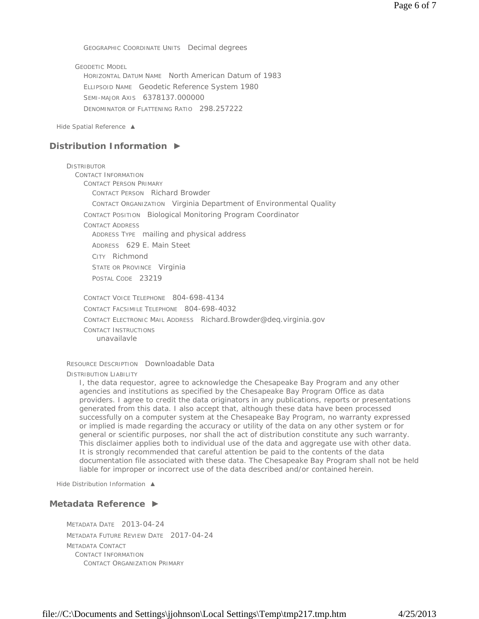GEOGRAPHIC COORDINATE UNITS Decimal degrees

GEODETIC MODEL HORIZONTAL DATUM NAME North American Datum of 1983 ELLIPSOID NAME Geodetic Reference System 1980 SEMI-MAJOR AXIS 6378137.000000 DENOMINATOR OF FLATTENING RATIO 298.257222

*Hide Spatial Reference ▲*

# **Distribution Information ►**

**DISTRIBUTOR** CONTACT INFORMATION CONTACT PERSON PRIMARY CONTACT PERSON Richard Browder CONTACT ORGANIZATION Virginia Department of Environmental Quality CONTACT POSITION Biological Monitoring Program Coordinator CONTACT ADDRESS ADDRESS TYPE mailing and physical address ADDRESS 629 E. Main Steet CITY Richmond STATE OR PROVINCE Virginia POSTAL CODE 23219 CONTACT VOICE TELEPHONE 804-698-4134

CONTACT FACSIMILE TELEPHONE 804-698-4032 CONTACT ELECTRONIC MAIL ADDRESS Richard.Browder@deq.virginia.gov CONTACT INSTRUCTIONS unavailavle

RESOURCE DESCRIPTION Downloadable Data DISTRIBUTION LIABILITY

I, the data requestor, agree to acknowledge the Chesapeake Bay Program and any other agencies and institutions as specified by the Chesapeake Bay Program Office as data providers. I agree to credit the data originators in any publications, reports or presentations generated from this data. I also accept that, although these data have been processed successfully on a computer system at the Chesapeake Bay Program, no warranty expressed or implied is made regarding the accuracy or utility of the data on any other system or for general or scientific purposes, nor shall the act of distribution constitute any such warranty. This disclaimer applies both to individual use of the data and aggregate use with other data. It is strongly recommended that careful attention be paid to the contents of the data documentation file associated with these data. The Chesapeake Bay Program shall not be held liable for improper or incorrect use of the data described and/or contained herein.

*Hide Distribution Information ▲*

# **Metadata Reference ►**

METADATA DATE 2013-04-24 METADATA FUTURE REVIEW DATE 2017-04-24 METADATA CONTACT CONTACT INFORMATION CONTACT ORGANIZATION PRIMARY